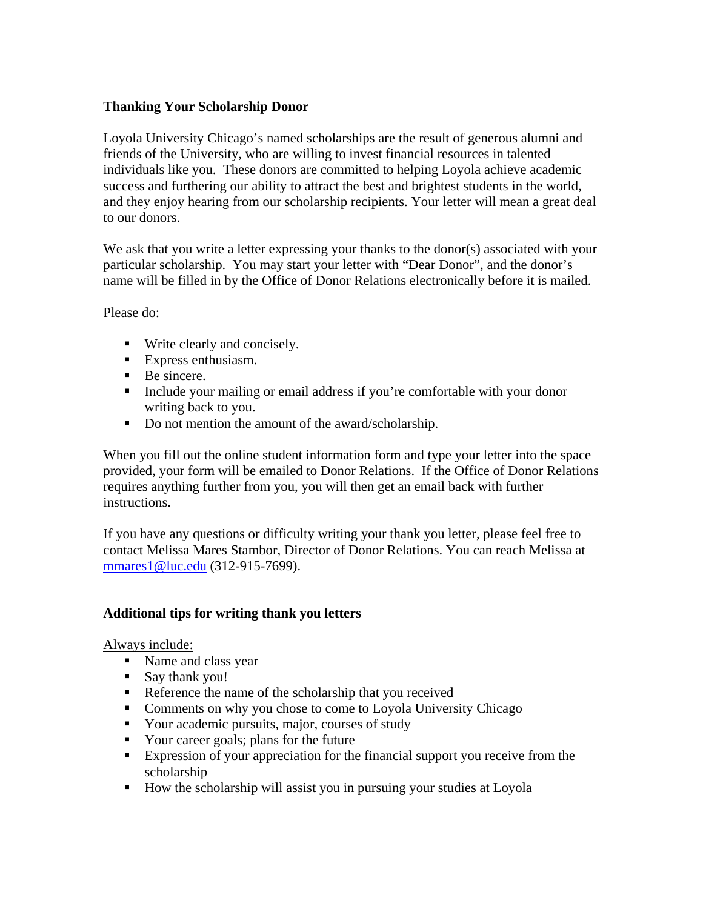## **Thanking Your Scholarship Donor**

Loyola University Chicago's named scholarships are the result of generous alumni and friends of the University, who are willing to invest financial resources in talented individuals like you. These donors are committed to helping Loyola achieve academic success and furthering our ability to attract the best and brightest students in the world, and they enjoy hearing from our scholarship recipients. Your letter will mean a great deal to our donors.

We ask that you write a letter expressing your thanks to the donor(s) associated with your particular scholarship. You may start your letter with "Dear Donor", and the donor's name will be filled in by the Office of Donor Relations electronically before it is mailed.

Please do:

- Write clearly and concisely.
- Express enthusiasm.
- Be sincere.
- Include your mailing or email address if you're comfortable with your donor writing back to you.
- Do not mention the amount of the award/scholarship.

When you fill out the online student information form and type your letter into the space provided, your form will be emailed to Donor Relations. If the Office of Donor Relations requires anything further from you, you will then get an email back with further instructions.

If you have any questions or difficulty writing your thank you letter, please feel free to contact Melissa Mares Stambor, Director of Donor Relations. You can reach Melissa at mmares1@luc.edu (312-915-7699).

# **Additional tips for writing thank you letters**

Always include:

- Name and class year
- Say thank you!
- Reference the name of the scholarship that you received
- **Comments on why you chose to come to Loyola University Chicago**
- Your academic pursuits, major, courses of study
- Your career goals; plans for the future
- Expression of your appreciation for the financial support you receive from the scholarship
- How the scholarship will assist you in pursuing your studies at Loyola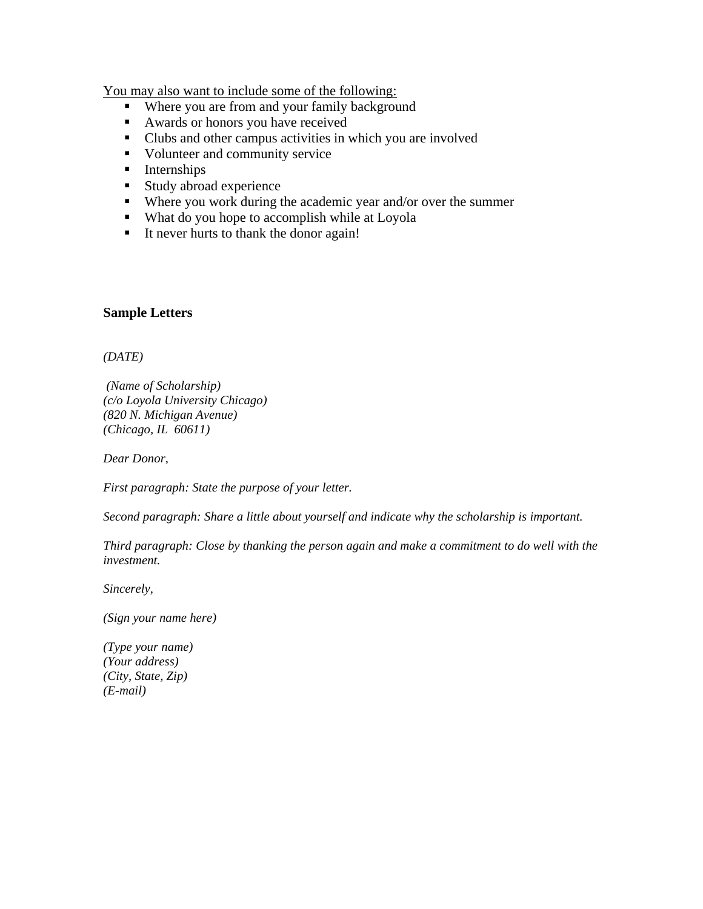You may also want to include some of the following:

- Where you are from and your family background
- Awards or honors you have received
- Clubs and other campus activities in which you are involved
- Volunteer and community service
- **Internships**
- **Study abroad experience**
- Where you work during the academic year and/or over the summer
- What do you hope to accomplish while at Loyola
- It never hurts to thank the donor again!

### **Sample Letters**

*(DATE)* 

 *(Name of Scholarship) (c/o Loyola University Chicago) (820 N. Michigan Avenue) (Chicago, IL 60611)* 

*Dear Donor,* 

*First paragraph: State the purpose of your letter.* 

*Second paragraph: Share a little about yourself and indicate why the scholarship is important.* 

*Third paragraph: Close by thanking the person again and make a commitment to do well with the investment.* 

*Sincerely,* 

*(Sign your name here)* 

*(Type your name) (Your address) (City, State, Zip) (E-mail)*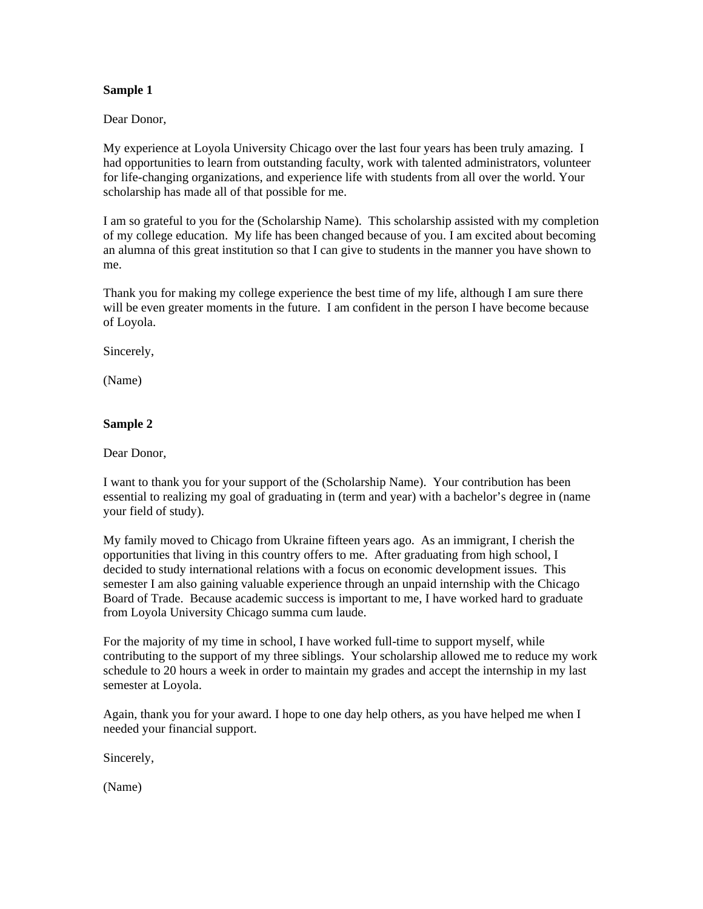#### **Sample 1**

Dear Donor,

My experience at Loyola University Chicago over the last four years has been truly amazing. I had opportunities to learn from outstanding faculty, work with talented administrators, volunteer for life-changing organizations, and experience life with students from all over the world. Your scholarship has made all of that possible for me.

I am so grateful to you for the (Scholarship Name). This scholarship assisted with my completion of my college education. My life has been changed because of you. I am excited about becoming an alumna of this great institution so that I can give to students in the manner you have shown to me.

Thank you for making my college experience the best time of my life, although I am sure there will be even greater moments in the future. I am confident in the person I have become because of Loyola.

Sincerely,

(Name)

#### **Sample 2**

Dear Donor,

I want to thank you for your support of the (Scholarship Name). Your contribution has been essential to realizing my goal of graduating in (term and year) with a bachelor's degree in (name your field of study).

My family moved to Chicago from Ukraine fifteen years ago. As an immigrant, I cherish the opportunities that living in this country offers to me. After graduating from high school, I decided to study international relations with a focus on economic development issues. This semester I am also gaining valuable experience through an unpaid internship with the Chicago Board of Trade. Because academic success is important to me, I have worked hard to graduate from Loyola University Chicago summa cum laude.

For the majority of my time in school, I have worked full-time to support myself, while contributing to the support of my three siblings. Your scholarship allowed me to reduce my work schedule to 20 hours a week in order to maintain my grades and accept the internship in my last semester at Loyola.

Again, thank you for your award. I hope to one day help others, as you have helped me when I needed your financial support.

Sincerely,

(Name)